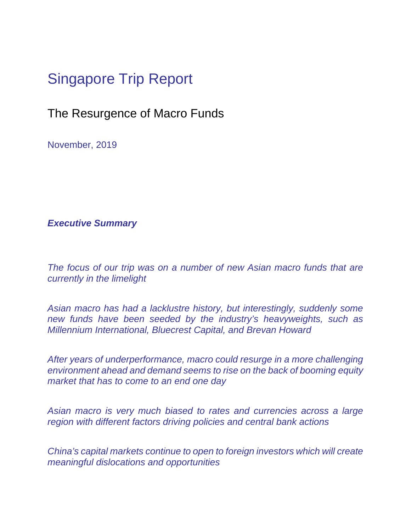# Singapore Trip Report

### The Resurgence of Macro Funds

November, 2019

#### *Executive Summary*

*The focus of our trip was on a number of new Asian macro funds that are currently in the limelight* 

*Asian macro has had a lacklustre history, but interestingly, suddenly some new funds have been seeded by the industry's heavyweights, such as Millennium International, Bluecrest Capital, and Brevan Howard* 

*After years of underperformance, macro could resurge in a more challenging environment ahead and demand seems to rise on the back of booming equity market that has to come to an end one day* 

*Asian macro is very much biased to rates and currencies across a large region with different factors driving policies and central bank actions* 

*China's capital markets continue to open to foreign investors which will create meaningful dislocations and opportunities*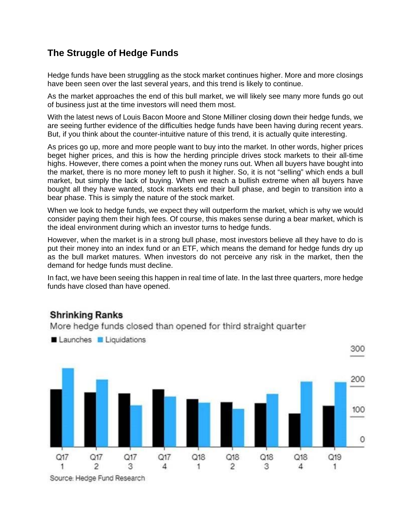#### **The Struggle of Hedge Funds**

Hedge funds have been struggling as the stock market continues higher. More and more closings have been seen over the last several years, and this trend is likely to continue.

As the market approaches the end of this bull market, we will likely see many more funds go out of business just at the time investors will need them most.

With the latest news of Louis Bacon Moore and Stone Milliner closing down their hedge funds, we are seeing further evidence of the difficulties hedge funds have been having during recent years. But, if you think about the counter-intuitive nature of this trend, it is actually quite interesting.

As prices go up, more and more people want to buy into the market. In other words, higher prices beget higher prices, and this is how the herding principle drives stock markets to their all-time highs. However, there comes a point when the money runs out. When all buyers have bought into the market, there is no more money left to push it higher. So, it is not "selling" which ends a bull market, but simply the lack of buying. When we reach a bullish extreme when all buyers have bought all they have wanted, stock markets end their bull phase, and begin to transition into a bear phase. This is simply the nature of the stock market.

When we look to hedge funds, we expect they will outperform the market, which is why we would consider paying them their high fees. Of course, this makes sense during a bear market, which is the ideal environment during which an investor turns to hedge funds.

However, when the market is in a strong bull phase, most investors believe all they have to do is put their money into an index fund or an ETF, which means the demand for hedge funds dry up as the bull market matures. When investors do not perceive any risk in the market, then the demand for hedge funds must decline.

In fact, we have been seeing this happen in real time of late. In the last three quarters, more hedge funds have closed than have opened.

#### **Shrinking Ranks**

More hedge funds closed than opened for third straight quarter